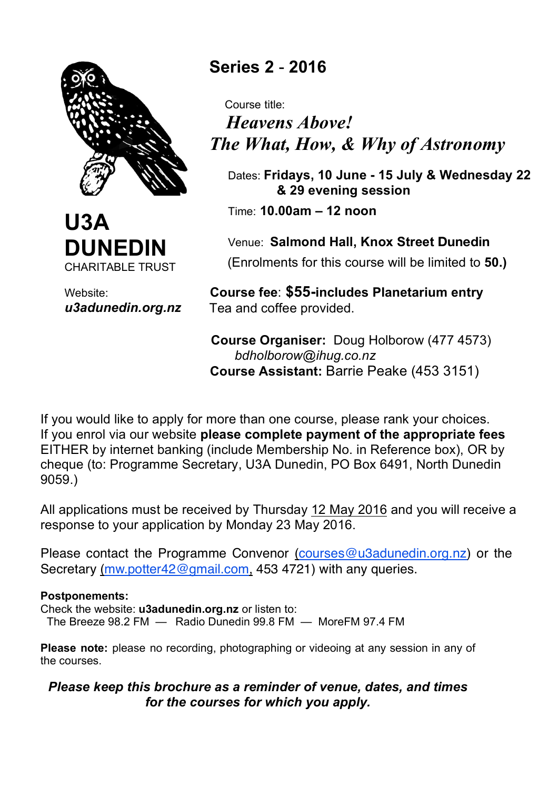



Website: *u3adunedin.org.nz*

# **Series 2** - **2016**

 Course title:  *Heavens Above! The What, How, & Why of Astronomy*

 Dates: **Fridays, 10 June - 15 July & Wednesday 22 & 29 evening session**

Time: **10.00am – 12 noon**

 Venue: **Salmond Hall, Knox Street Dunedin** (Enrolments for this course will be limited to **50.)**

 **Course fee**: **\$55-includes Planetarium entry** Tea and coffee provided.

 **Course Organiser:** Doug Holborow (477 4573) *bdholborow@ihug.co.nz*  **Course Assistant:** Barrie Peake (453 3151)

If you would like to apply for more than one course, please rank your choices. If you enrol via our website **please complete payment of the appropriate fees** EITHER by internet banking (include Membership No. in Reference box), OR by cheque (to: Programme Secretary, U3A Dunedin, PO Box 6491, North Dunedin 9059.)

All applications must be received by Thursday 12 May 2016 and you will receive a response to your application by Monday 23 May 2016.

Please contact the Programme Convenor (courses@u3adunedin.org.nz) or the Secretary (mw.potter42@gmail.com, 453 4721) with any queries.

#### **Postponements:**

Check the website: **u3adunedin.org.nz** or listen to:

The Breeze 98.2 FM — Radio Dunedin 99.8 FM — MoreFM 97.4 FM

**Please note:** please no recording, photographing or videoing at any session in any of the courses.

#### *Please keep this brochure as a reminder of venue, dates, and times for the courses for which you apply.*